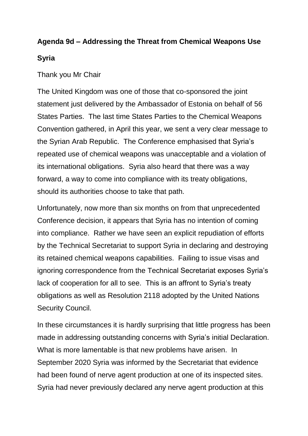## **Agenda 9d – Addressing the Threat from Chemical Weapons Use**

## **Syria**

Thank you Mr Chair

The United Kingdom was one of those that co-sponsored the joint statement just delivered by the Ambassador of Estonia on behalf of 56 States Parties. The last time States Parties to the Chemical Weapons Convention gathered, in April this year, we sent a very clear message to the Syrian Arab Republic. The Conference emphasised that Syria's repeated use of chemical weapons was unacceptable and a violation of its international obligations. Syria also heard that there was a way forward, a way to come into compliance with its treaty obligations, should its authorities choose to take that path.

Unfortunately, now more than six months on from that unprecedented Conference decision, it appears that Syria has no intention of coming into compliance. Rather we have seen an explicit repudiation of efforts by the Technical Secretariat to support Syria in declaring and destroying its retained chemical weapons capabilities. Failing to issue visas and ignoring correspondence from the Technical Secretariat exposes Syria's lack of cooperation for all to see. This is an affront to Syria's treaty obligations as well as Resolution 2118 adopted by the United Nations Security Council.

In these circumstances it is hardly surprising that little progress has been made in addressing outstanding concerns with Syria's initial Declaration. What is more lamentable is that new problems have arisen. In September 2020 Syria was informed by the Secretariat that evidence had been found of nerve agent production at one of its inspected sites. Syria had never previously declared any nerve agent production at this